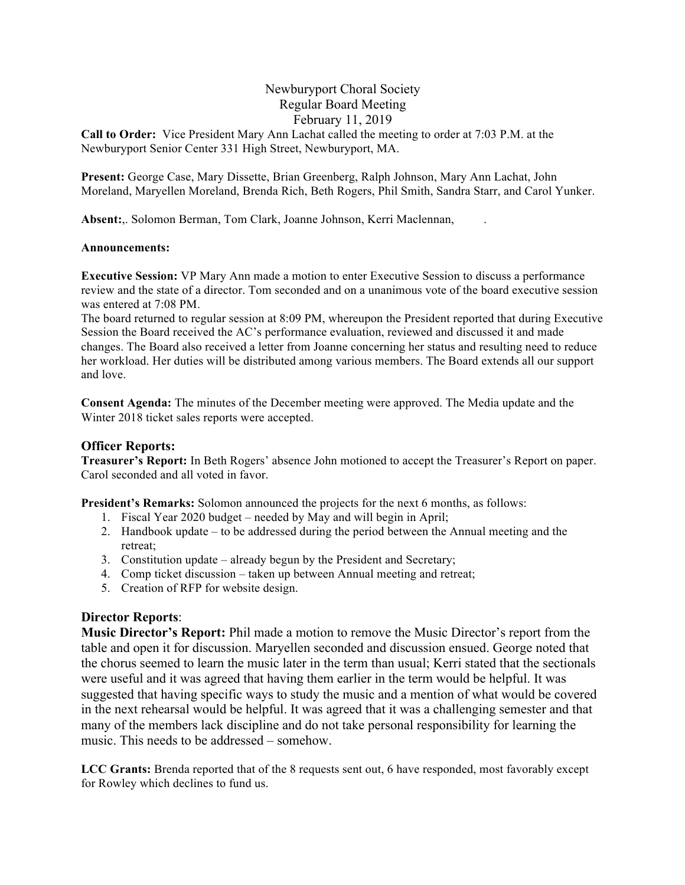# Newburyport Choral Society Regular Board Meeting February 11, 2019

**Call to Order:** Vice President Mary Ann Lachat called the meeting to order at 7:03 P.M. at the Newburyport Senior Center 331 High Street, Newburyport, MA.

**Present:** George Case, Mary Dissette, Brian Greenberg, Ralph Johnson, Mary Ann Lachat, John Moreland, Maryellen Moreland, Brenda Rich, Beth Rogers, Phil Smith, Sandra Starr, and Carol Yunker.

**Absent:**,. Solomon Berman, Tom Clark, Joanne Johnson, Kerri Maclennan, .

#### **Announcements:**

**Executive Session:** VP Mary Ann made a motion to enter Executive Session to discuss a performance review and the state of a director. Tom seconded and on a unanimous vote of the board executive session was entered at 7:08 PM.

The board returned to regular session at 8:09 PM, whereupon the President reported that during Executive Session the Board received the AC's performance evaluation, reviewed and discussed it and made changes. The Board also received a letter from Joanne concerning her status and resulting need to reduce her workload. Her duties will be distributed among various members. The Board extends all our support and love.

**Consent Agenda:** The minutes of the December meeting were approved. The Media update and the Winter 2018 ticket sales reports were accepted.

### **Officer Reports:**

**Treasurer's Report:** In Beth Rogers' absence John motioned to accept the Treasurer's Report on paper. Carol seconded and all voted in favor.

**President's Remarks:** Solomon announced the projects for the next 6 months, as follows:

- 1. Fiscal Year 2020 budget needed by May and will begin in April;
- 2. Handbook update to be addressed during the period between the Annual meeting and the retreat;
- 3. Constitution update already begun by the President and Secretary;
- 4. Comp ticket discussion taken up between Annual meeting and retreat;
- 5. Creation of RFP for website design.

## **Director Reports**:

**Music Director's Report:** Phil made a motion to remove the Music Director's report from the table and open it for discussion. Maryellen seconded and discussion ensued. George noted that the chorus seemed to learn the music later in the term than usual; Kerri stated that the sectionals were useful and it was agreed that having them earlier in the term would be helpful. It was suggested that having specific ways to study the music and a mention of what would be covered in the next rehearsal would be helpful. It was agreed that it was a challenging semester and that many of the members lack discipline and do not take personal responsibility for learning the music. This needs to be addressed – somehow.

**LCC Grants:** Brenda reported that of the 8 requests sent out, 6 have responded, most favorably except for Rowley which declines to fund us.